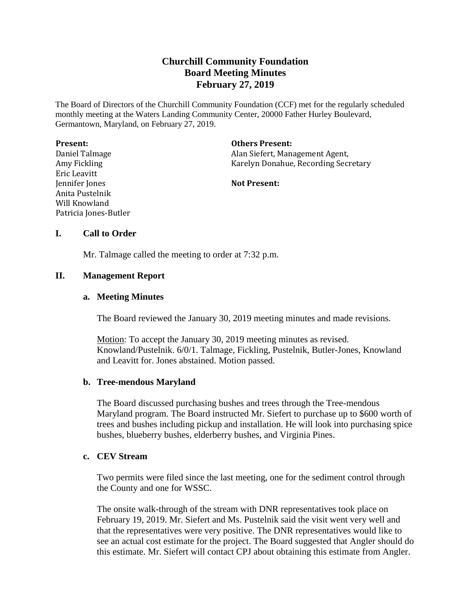# **Churchill Community Foundation Board Meeting Minutes February 27, 2019**

The Board of Directors of the Churchill Community Foundation (CCF) met for the regularly scheduled monthly meeting at the Waters Landing Community Center, 20000 Father Hurley Boulevard, Germantown, Maryland, on February 27, 2019.

| <b>Present:</b>       | <b>Others Present:</b>               |
|-----------------------|--------------------------------------|
| Daniel Talmage        | Alan Siefert, Management Agent,      |
| Amy Fickling          | Karelyn Donahue, Recording Secretary |
| Eric Leavitt          |                                      |
| Jennifer Jones        | <b>Not Present:</b>                  |
| Anita Pustelnik       |                                      |
| Will Knowland         |                                      |
| Patricia Jones-Butler |                                      |

## **I. Call to Order**

Mr. Talmage called the meeting to order at 7:32 p.m.

## **II. Management Report**

#### **a. Meeting Minutes**

The Board reviewed the January 30, 2019 meeting minutes and made revisions.

Motion: To accept the January 30, 2019 meeting minutes as revised. Knowland/Pustelnik. 6/0/1. Talmage, Fickling, Pustelnik, Butler-Jones, Knowland and Leavitt for. Jones abstained. Motion passed.

#### **b. Tree-mendous Maryland**

The Board discussed purchasing bushes and trees through the Tree-mendous Maryland program. The Board instructed Mr. Siefert to purchase up to \$600 worth of trees and bushes including pickup and installation. He will look into purchasing spice bushes, blueberry bushes, elderberry bushes, and Virginia Pines.

#### **c. CEV Stream**

Two permits were filed since the last meeting, one for the sediment control through the County and one for WSSC.

The onsite walk-through of the stream with DNR representatives took place on February 19, 2019. Mr. Siefert and Ms. Pustelnik said the visit went very well and that the representatives were very positive. The DNR representatives would like to see an actual cost estimate for the project. The Board suggested that Angler should do this estimate. Mr. Siefert will contact CPJ about obtaining this estimate from Angler.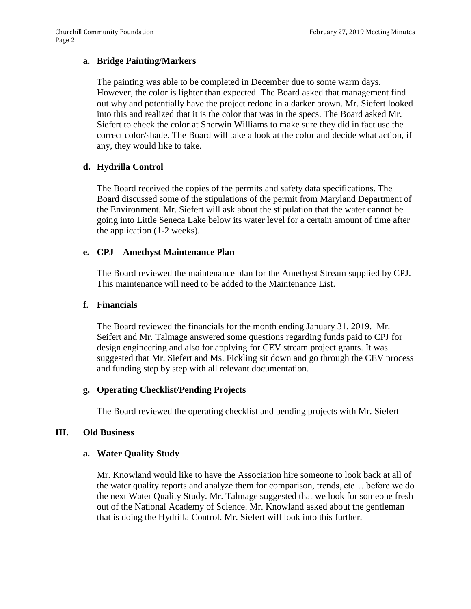## **a. Bridge Painting/Markers**

The painting was able to be completed in December due to some warm days. However, the color is lighter than expected. The Board asked that management find out why and potentially have the project redone in a darker brown. Mr. Siefert looked into this and realized that it is the color that was in the specs. The Board asked Mr. Siefert to check the color at Sherwin Williams to make sure they did in fact use the correct color/shade. The Board will take a look at the color and decide what action, if any, they would like to take.

## **d. Hydrilla Control**

The Board received the copies of the permits and safety data specifications. The Board discussed some of the stipulations of the permit from Maryland Department of the Environment. Mr. Siefert will ask about the stipulation that the water cannot be going into Little Seneca Lake below its water level for a certain amount of time after the application (1-2 weeks).

## **e. CPJ – Amethyst Maintenance Plan**

The Board reviewed the maintenance plan for the Amethyst Stream supplied by CPJ. This maintenance will need to be added to the Maintenance List.

#### **f. Financials**

The Board reviewed the financials for the month ending January 31, 2019. Mr. Seifert and Mr. Talmage answered some questions regarding funds paid to CPJ for design engineering and also for applying for CEV stream project grants. It was suggested that Mr. Siefert and Ms. Fickling sit down and go through the CEV process and funding step by step with all relevant documentation.

## **g. Operating Checklist/Pending Projects**

The Board reviewed the operating checklist and pending projects with Mr. Siefert

#### **III. Old Business**

## **a. Water Quality Study**

Mr. Knowland would like to have the Association hire someone to look back at all of the water quality reports and analyze them for comparison, trends, etc… before we do the next Water Quality Study. Mr. Talmage suggested that we look for someone fresh out of the National Academy of Science. Mr. Knowland asked about the gentleman that is doing the Hydrilla Control. Mr. Siefert will look into this further.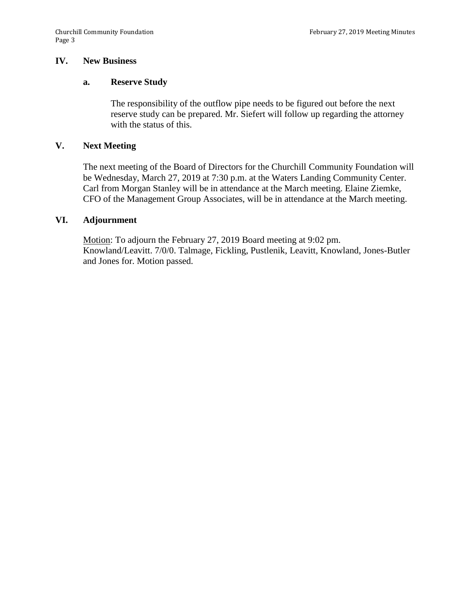## **IV. New Business**

#### **a. Reserve Study**

The responsibility of the outflow pipe needs to be figured out before the next reserve study can be prepared. Mr. Siefert will follow up regarding the attorney with the status of this.

#### **V. Next Meeting**

The next meeting of the Board of Directors for the Churchill Community Foundation will be Wednesday, March 27, 2019 at 7:30 p.m. at the Waters Landing Community Center. Carl from Morgan Stanley will be in attendance at the March meeting. Elaine Ziemke, CFO of the Management Group Associates, will be in attendance at the March meeting.

#### **VI. Adjournment**

Motion: To adjourn the February 27, 2019 Board meeting at 9:02 pm. Knowland/Leavitt. 7/0/0. Talmage, Fickling, Pustlenik, Leavitt, Knowland, Jones-Butler and Jones for. Motion passed.